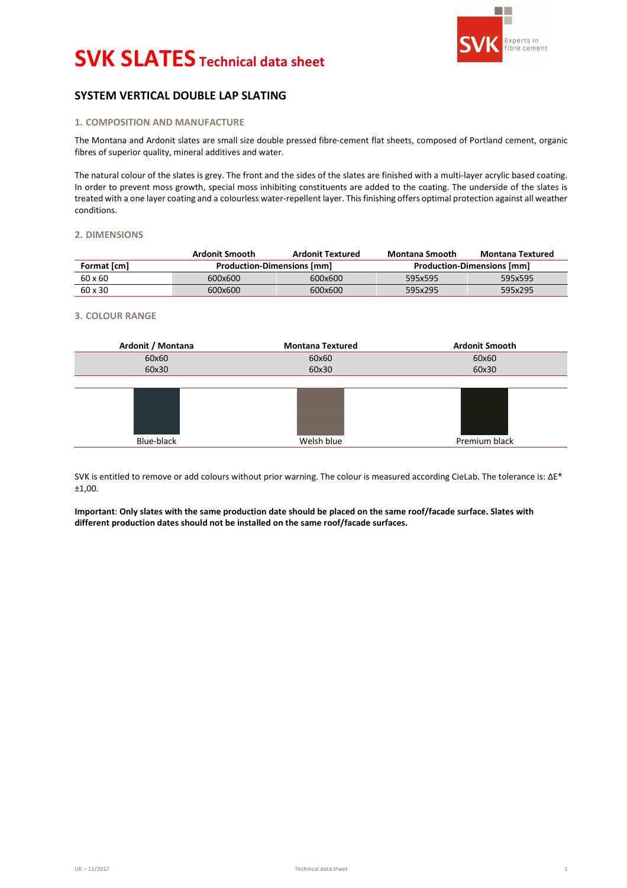

# **SYSTEM VERTICAL DOUBLE LAP SLATING**

# **1. COMPOSITION AND MANUFACTURE**

The Montana and Ardonit slates are small size double pressed fibre-cement flat sheets, composed of Portland cement, organic fibres of superior quality, mineral additives and water.

The natural colour of the slates is grey. The front and the sides of the slates are finished with a multi-layer acrylic based coating. In order to prevent moss growth, special moss inhibiting constituents are added to the coating. The underside of the slates is treated with a one layer coating and a colourless water-repellent layer. This finishing offers optimal protection against all weather conditions.

### **2. DIMENSIONS**

|             | Ardonit Smooth                    | <b>Ardonit Textured</b> | Montana Smooth                    | Montana Textured |  |  |
|-------------|-----------------------------------|-------------------------|-----------------------------------|------------------|--|--|
| Format [cm] | <b>Production-Dimensions [mm]</b> |                         | <b>Production-Dimensions [mm]</b> |                  |  |  |
| 60 x 60     | 600x600                           | 600x600                 | 595x595                           | 595x595          |  |  |
| 60 x 30     | 600x600                           | 600x600                 | 595x295                           | 595x295          |  |  |

### **3. COLOUR RANGE**



SVK is entitled to remove or add colours without prior warning. The colour is measured according CieLab. The tolerance is: ΔE\* ±1,00.

**Important**: **Only slates with the same production date should be placed on the same roof/facade surface. Slates with different production dates should not be installed on the same roof/facade surfaces.**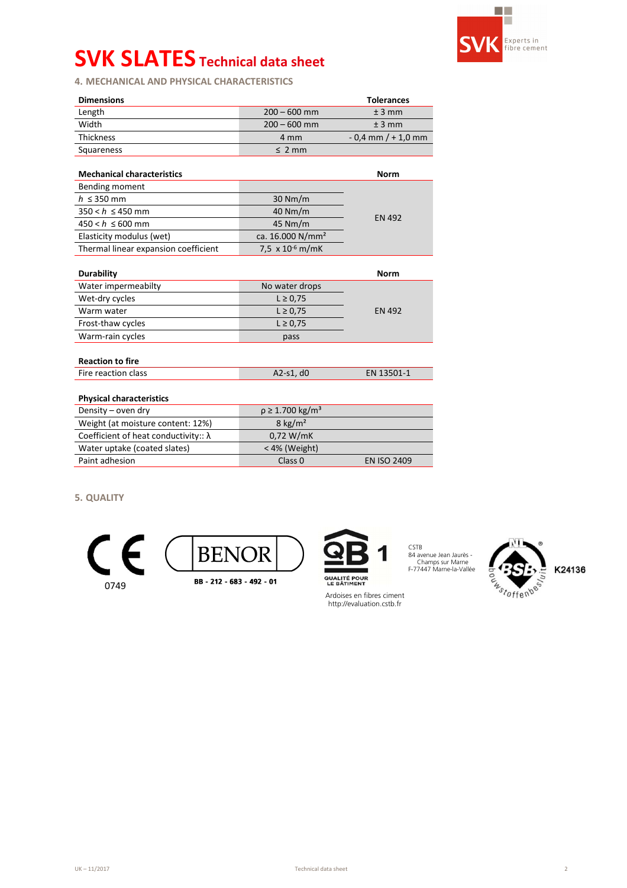

**4. MECHANICAL AND PHYSICAL CHARACTERISTICS** 

| <b>Dimensions</b>                            |                                    | <b>Tolerances</b>      |  |  |  |  |
|----------------------------------------------|------------------------------------|------------------------|--|--|--|--|
| Length                                       | $200 - 600$ mm                     | ± 3 mm                 |  |  |  |  |
| Width                                        | $200 - 600$ mm                     | $± 3$ mm               |  |  |  |  |
| <b>Thickness</b>                             | 4 mm                               | $-0.4$ mm $/ + 1.0$ mm |  |  |  |  |
| Squareness                                   | $\leq$ 2 mm                        |                        |  |  |  |  |
|                                              |                                    |                        |  |  |  |  |
| <b>Mechanical characteristics</b>            |                                    | <b>Norm</b>            |  |  |  |  |
| Bending moment                               |                                    |                        |  |  |  |  |
| $h \leq 350$ mm                              | $30$ Nm/m                          |                        |  |  |  |  |
| $350 < h \le 450$ mm                         | 40 Nm/m                            | <b>EN 492</b>          |  |  |  |  |
| $450 < h \le 600$ mm                         | 45 Nm/m                            |                        |  |  |  |  |
| Elasticity modulus (wet)                     | ca. 16.000 N/mm <sup>2</sup>       |                        |  |  |  |  |
| Thermal linear expansion coefficient         | 7,5 $\times$ 10 <sup>-6</sup> m/mK |                        |  |  |  |  |
|                                              |                                    |                        |  |  |  |  |
| <b>Durability</b>                            |                                    | <b>Norm</b>            |  |  |  |  |
| Water impermeabilty                          | No water drops                     |                        |  |  |  |  |
| Wet-dry cycles                               | $L \ge 0,75$                       |                        |  |  |  |  |
| Warm water                                   | $L \ge 0.75$                       | <b>EN 492</b>          |  |  |  |  |
| Frost-thaw cycles                            | $L \ge 0.75$                       |                        |  |  |  |  |
| Warm-rain cycles                             | pass                               |                        |  |  |  |  |
|                                              |                                    |                        |  |  |  |  |
| <b>Reaction to fire</b>                      |                                    |                        |  |  |  |  |
| Fire reaction class                          | A2-s1, d0                          | EN 13501-1             |  |  |  |  |
|                                              |                                    |                        |  |  |  |  |
| <b>Physical characteristics</b>              |                                    |                        |  |  |  |  |
| Density - oven dry                           | $\rho \ge 1.700 \text{ kg/m}^3$    |                        |  |  |  |  |
| Weight (at moisture content: 12%)            | $8$ kg/m <sup>2</sup>              |                        |  |  |  |  |
| Coefficient of heat conductivity:: $\lambda$ | 0,72 W/mK                          |                        |  |  |  |  |
| Water uptake (coated slates)                 | < 4% (Weight)                      |                        |  |  |  |  |
| Paint adhesion                               | Class <sub>0</sub>                 | <b>EN ISO 2409</b>     |  |  |  |  |
|                                              |                                    |                        |  |  |  |  |

**5. QUALITY** 





Ardoises en fibres ciment http://evaluation.cstb.fr

CSTB 84 avenue Jean Jaurès - ,,,,,Champs sur Marne F-77447 Marne-la-Vallée

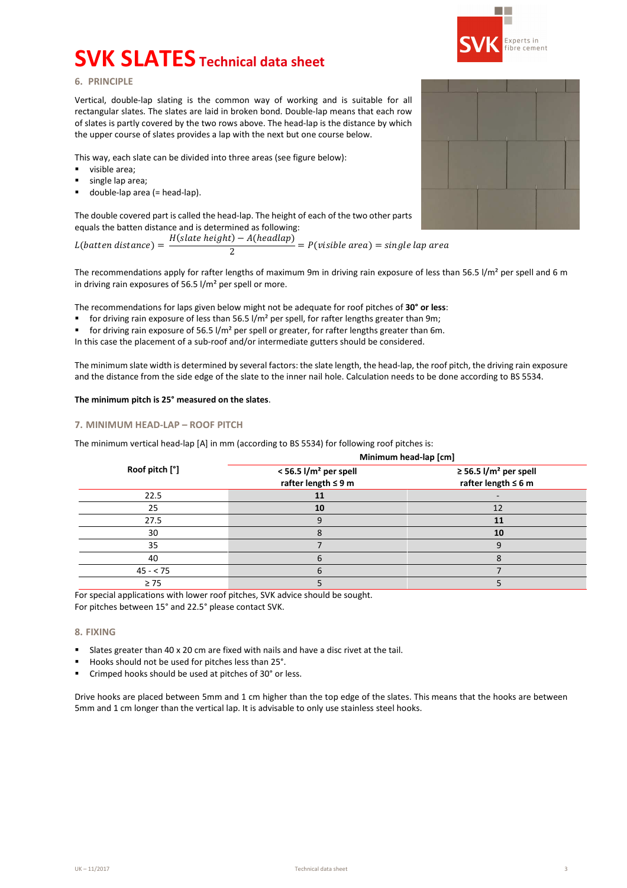

# **6. PRINCIPLE**

Vertical, double-lap slating is the common way of working and is suitable for all rectangular slates. The slates are laid in broken bond. Double-lap means that each row of slates is partly covered by the two rows above. The head-lap is the distance by which the upper course of slates provides a lap with the next but one course below.

This way, each slate can be divided into three areas (see figure below):

- visible area;
- single lap area;
- $\blacksquare$  double-lap area (= head-lap).

The double covered part is called the head-lap. The height of each of the two other parts equals the batten distance and is determined as following:

 $L(batten\ distance) = H(slate height) - A(headlap)$  $\frac{1}{2}$  =  $P(visible \text{ area}) = single \text{ lap} \text{ area}$ 

The recommendations apply for rafter lengths of maximum 9m in driving rain exposure of less than 56.5 l/m<sup>2</sup> per spell and 6 m in driving rain exposures of 56.5 l/m² per spell or more.

The recommendations for laps given below might not be adequate for roof pitches of **30° or less**:

- for driving rain exposure of less than 56.5 l/m<sup>2</sup> per spell, for rafter lengths greater than 9m;
- for driving rain exposure of 56.5  $1/m<sup>2</sup>$  per spell or greater, for rafter lengths greater than 6m.

In this case the placement of a sub-roof and/or intermediate gutters should be considered.

The minimum slate width is determined by several factors: the slate length, the head-lap, the roof pitch, the driving rain exposure and the distance from the side edge of the slate to the inner nail hole. Calculation needs to be done according to BS 5534.

### **The minimum pitch is 25° measured on the slates**.

### **7. MINIMUM HEAD-LAP – ROOF PITCH**

The minimum vertical head-lap [A] in mm (according to BS 5534) for following roof pitches is:

|                | Minimum head-lap [cm]                                           |                                                                    |  |  |  |  |  |
|----------------|-----------------------------------------------------------------|--------------------------------------------------------------------|--|--|--|--|--|
| Roof pitch [°] | $<$ 56.5 l/m <sup>2</sup> per spell<br>rafter length $\leq 9$ m | $\geq$ 56.5 l/m <sup>2</sup> per spell<br>rafter length $\leq 6$ m |  |  |  |  |  |
| 22.5           |                                                                 |                                                                    |  |  |  |  |  |
| 25             | 10                                                              | 12                                                                 |  |  |  |  |  |
| 27.5           |                                                                 | 11                                                                 |  |  |  |  |  |
| 30             |                                                                 | 10                                                                 |  |  |  |  |  |
| 35             |                                                                 |                                                                    |  |  |  |  |  |
| 40             |                                                                 |                                                                    |  |  |  |  |  |
| $45 - 75$      |                                                                 |                                                                    |  |  |  |  |  |
| $\geq 75$      |                                                                 |                                                                    |  |  |  |  |  |

For special applications with lower roof pitches, SVK advice should be sought.

For pitches between 15° and 22.5° please contact SVK.

### **8. FIXING**

- Slates greater than 40 x 20 cm are fixed with nails and have a disc rivet at the tail.
- Hooks should not be used for pitches less than 25°.
- Crimped hooks should be used at pitches of 30° or less.

Drive hooks are placed between 5mm and 1 cm higher than the top edge of the slates. This means that the hooks are between 5mm and 1 cm longer than the vertical lap. It is advisable to only use stainless steel hooks.